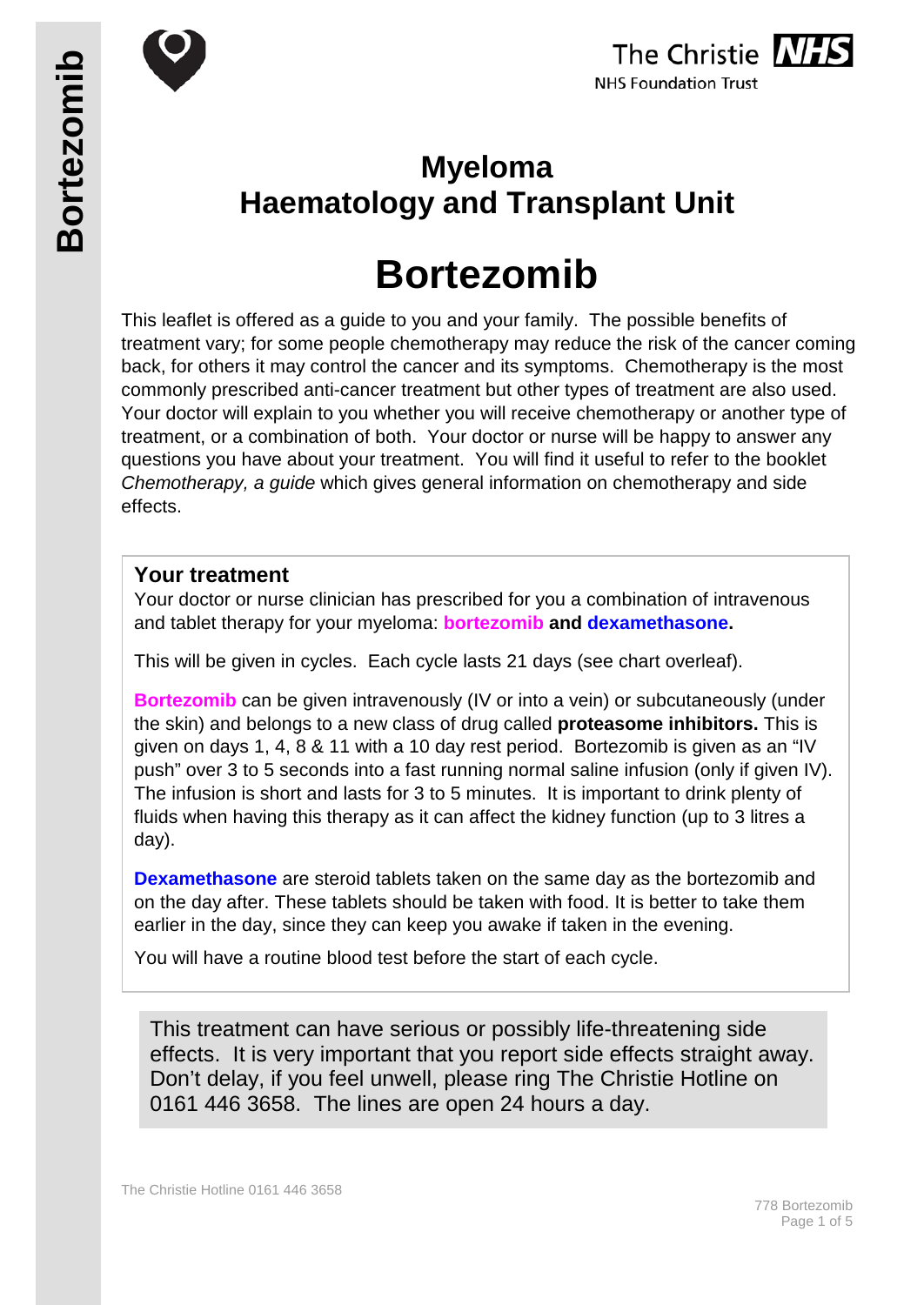





## **Myeloma Haematology and Transplant Unit**

# **Bortezomib**

This leaflet is offered as a guide to you and your family. The possible benefits of treatment vary; for some people chemotherapy may reduce the risk of the cancer coming back, for others it may control the cancer and its symptoms. Chemotherapy is the most commonly prescribed anti-cancer treatment but other types of treatment are also used. Your doctor will explain to you whether you will receive chemotherapy or another type of treatment, or a combination of both. Your doctor or nurse will be happy to answer any questions you have about your treatment. You will find it useful to refer to the booklet *Chemotherapy, a guide* which gives general information on chemotherapy and side effects.

#### **Your treatment**

Your doctor or nurse clinician has prescribed for you a combination of intravenous and tablet therapy for your myeloma: **bortezomib and dexamethasone.**

This will be given in cycles. Each cycle lasts 21 days (see chart overleaf).

**Bortezomib** can be given intravenously (IV or into a vein) or subcutaneously (under the skin) and belongs to a new class of drug called **proteasome inhibitors.** This is given on days 1, 4, 8 & 11 with a 10 day rest period. Bortezomib is given as an "IV push" over 3 to 5 seconds into a fast running normal saline infusion (only if given IV). The infusion is short and lasts for 3 to 5 minutes. It is important to drink plenty of fluids when having this therapy as it can affect the kidney function (up to 3 litres a day).

**Dexamethasone** are steroid tablets taken on the same day as the bortezomib and on the day after. These tablets should be taken with food. It is better to take them earlier in the day, since they can keep you awake if taken in the evening.

You will have a routine blood test before the start of each cycle.

This treatment can have serious or possibly life-threatening side effects. It is very important that you report side effects straight away. Don't delay, if you feel unwell, please ring The Christie Hotline on 0161 446 3658. The lines are open 24 hours a day.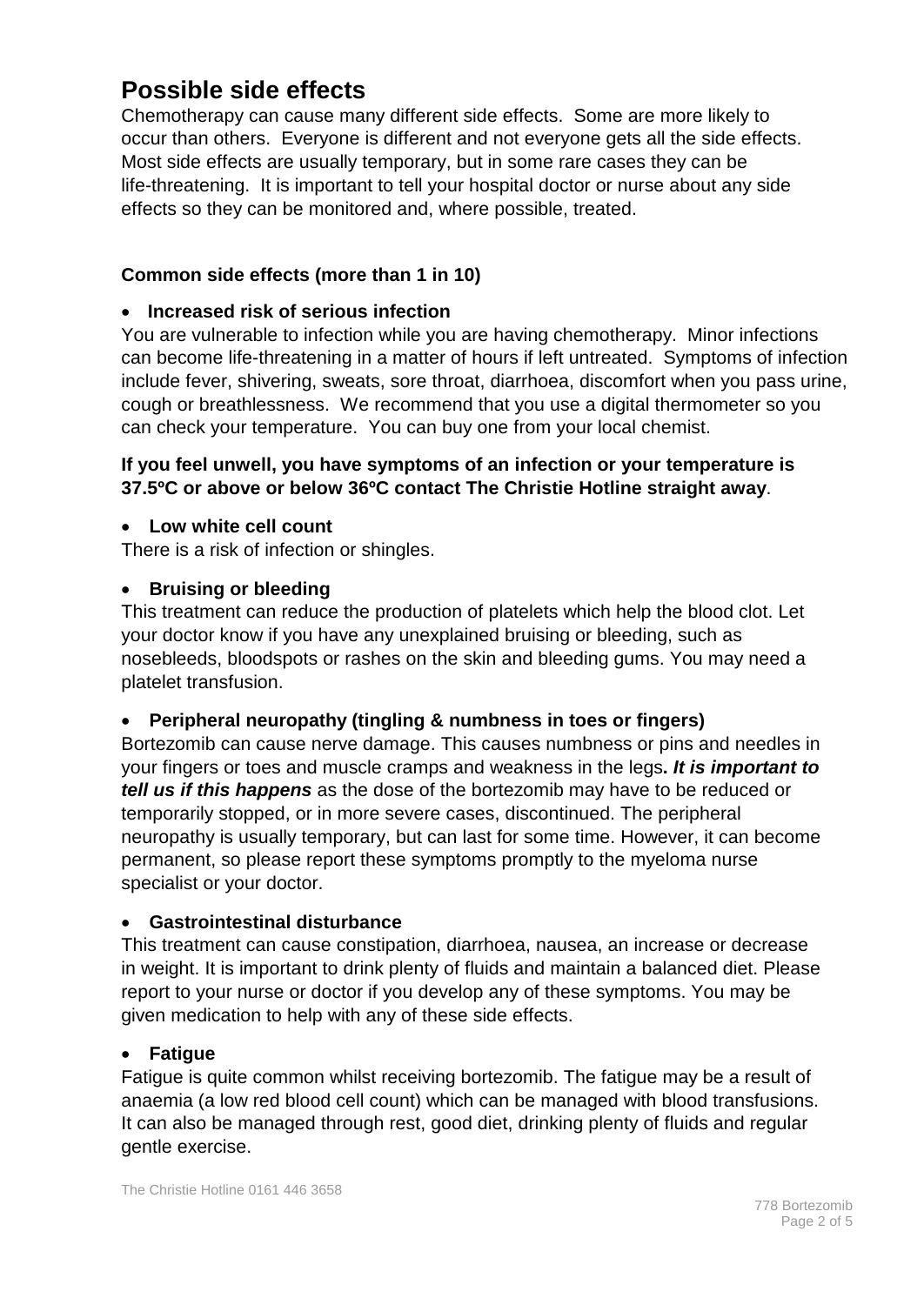## **Possible side effects**

Chemotherapy can cause many different side effects. Some are more likely to occur than others. Everyone is different and not everyone gets all the side effects. Most side effects are usually temporary, but in some rare cases they can be life-threatening. It is important to tell your hospital doctor or nurse about any side effects so they can be monitored and, where possible, treated.

#### **Common side effects (more than 1 in 10)**

#### • **Increased risk of serious infection**

You are vulnerable to infection while you are having chemotherapy. Minor infections can become life-threatening in a matter of hours if left untreated. Symptoms of infection include fever, shivering, sweats, sore throat, diarrhoea, discomfort when you pass urine, cough or breathlessness. We recommend that you use a digital thermometer so you can check your temperature. You can buy one from your local chemist.

#### **If you feel unwell, you have symptoms of an infection or your temperature is 37.5ºC or above or below 36ºC contact The Christie Hotline straight away**.

#### • **Low white cell count**

There is a risk of infection or shingles.

#### • **Bruising or bleeding**

This treatment can reduce the production of platelets which help the blood clot. Let your doctor know if you have any unexplained bruising or bleeding, such as nosebleeds, bloodspots or rashes on the skin and bleeding gums. You may need a platelet transfusion.

#### • **Peripheral neuropathy (tingling & numbness in toes or fingers)**

Bortezomib can cause nerve damage. This causes numbness or pins and needles in your fingers or toes and muscle cramps and weakness in the legs**.** *It is important to tell us if this happens* as the dose of the bortezomib may have to be reduced or temporarily stopped, or in more severe cases, discontinued. The peripheral neuropathy is usually temporary, but can last for some time. However, it can become permanent, so please report these symptoms promptly to the myeloma nurse specialist or your doctor.

#### • **Gastrointestinal disturbance**

This treatment can cause constipation, diarrhoea, nausea, an increase or decrease in weight. It is important to drink plenty of fluids and maintain a balanced diet. Please report to your nurse or doctor if you develop any of these symptoms. You may be given medication to help with any of these side effects.

#### • **Fatigue**

Fatigue is quite common whilst receiving bortezomib. The fatigue may be a result of anaemia (a low red blood cell count) which can be managed with blood transfusions. It can also be managed through rest, good diet, drinking plenty of fluids and regular gentle exercise.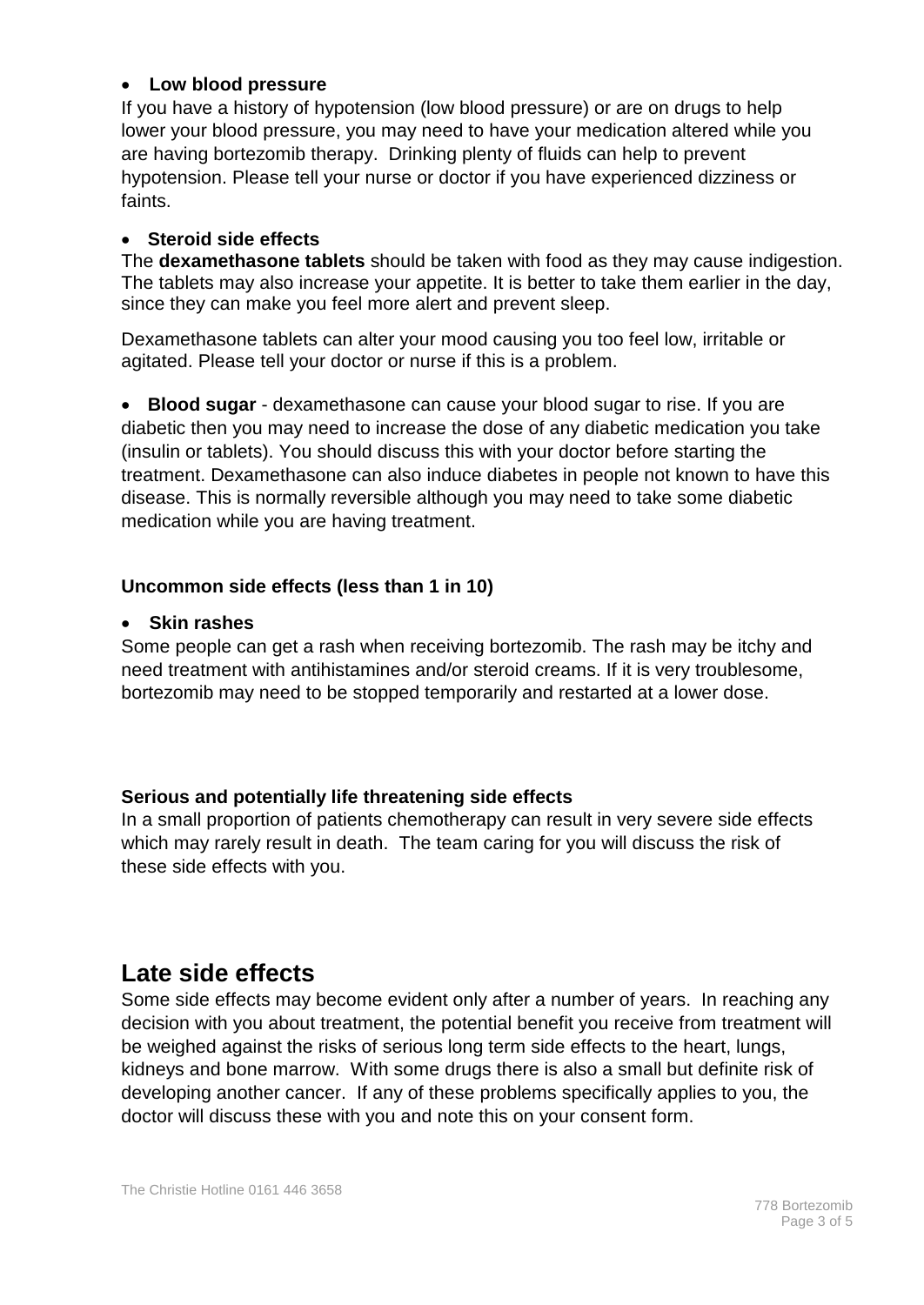#### • **Low blood pressure**

If you have a history of hypotension (low blood pressure) or are on drugs to help lower your blood pressure, you may need to have your medication altered while you are having bortezomib therapy. Drinking plenty of fluids can help to prevent hypotension. Please tell your nurse or doctor if you have experienced dizziness or faints.

#### • **Steroid side effects**

The **dexamethasone tablets** should be taken with food as they may cause indigestion. The tablets may also increase your appetite. It is better to take them earlier in the day, since they can make you feel more alert and prevent sleep.

Dexamethasone tablets can alter your mood causing you too feel low, irritable or agitated. Please tell your doctor or nurse if this is a problem.

• **Blood sugar** - dexamethasone can cause your blood sugar to rise. If you are diabetic then you may need to increase the dose of any diabetic medication you take (insulin or tablets). You should discuss this with your doctor before starting the treatment. Dexamethasone can also induce diabetes in people not known to have this disease. This is normally reversible although you may need to take some diabetic medication while you are having treatment.

#### **Uncommon side effects (less than 1 in 10)**

#### • **Skin rashes**

Some people can get a rash when receiving bortezomib. The rash may be itchy and need treatment with antihistamines and/or steroid creams. If it is very troublesome, bortezomib may need to be stopped temporarily and restarted at a lower dose.

#### **Serious and potentially life threatening side effects**

In a small proportion of patients chemotherapy can result in very severe side effects which may rarely result in death. The team caring for you will discuss the risk of these side effects with you.

## **Late side effects**

Some side effects may become evident only after a number of years. In reaching any decision with you about treatment, the potential benefit you receive from treatment will be weighed against the risks of serious long term side effects to the heart, lungs, kidneys and bone marrow. With some drugs there is also a small but definite risk of developing another cancer. If any of these problems specifically applies to you, the doctor will discuss these with you and note this on your consent form.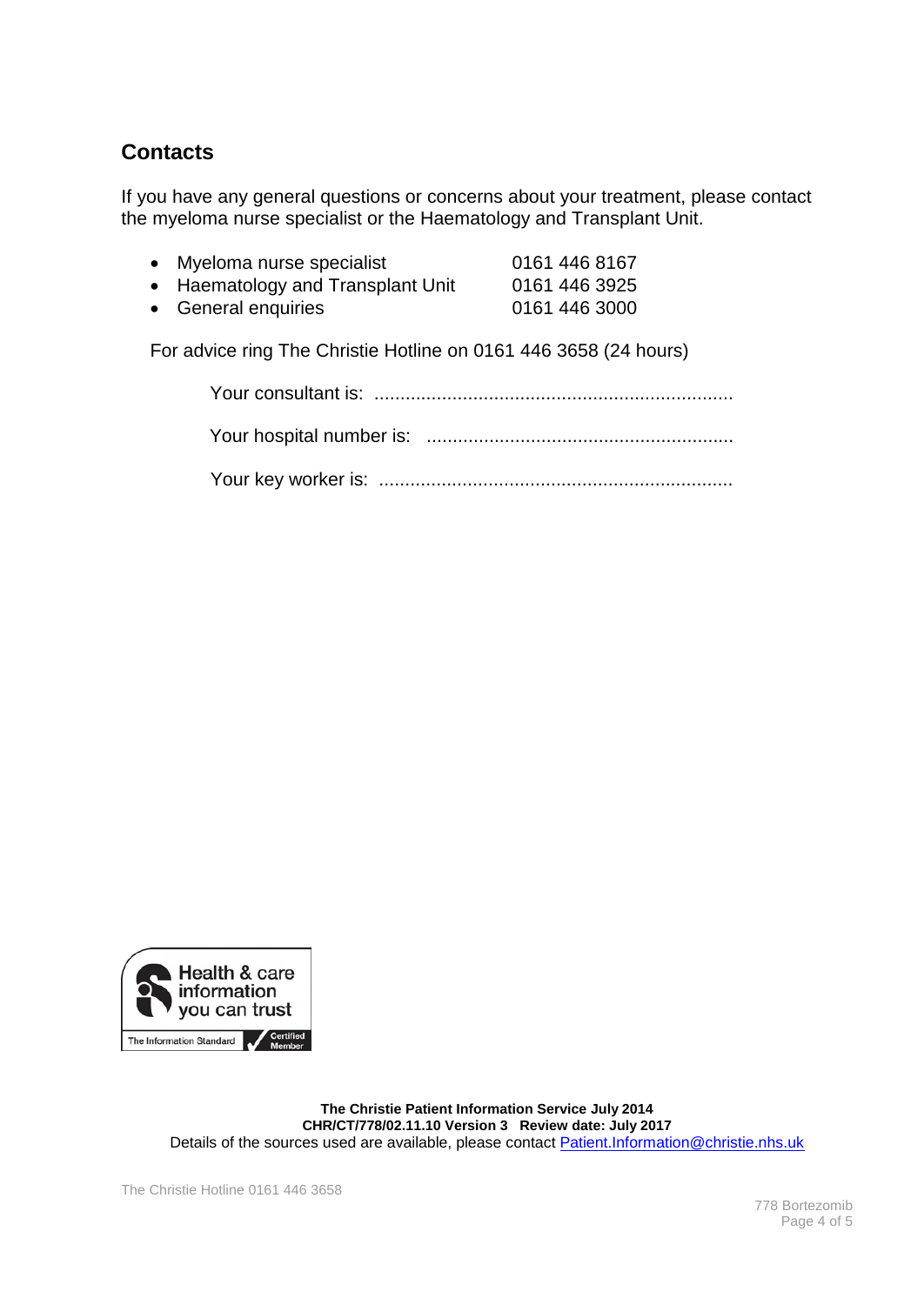### **Contacts**

If you have any general questions or concerns about your treatment, please contact the myeloma nurse specialist or the Haematology and Transplant Unit.

| Myeloma nurse specialist          | 0161 446 8167 |
|-----------------------------------|---------------|
| • Haematology and Transplant Unit | 0161 446 3925 |

• General enquiries 0161 446 3000

For advice ring The Christie Hotline on 0161 446 3658 (24 hours)



**The Christie Patient Information Service July 2014 CHR/CT/778/02.11.10 Version 3 Review date: July 2017** Details of the sources used are available, please contact **Patient.Information@christie.nhs.uk**